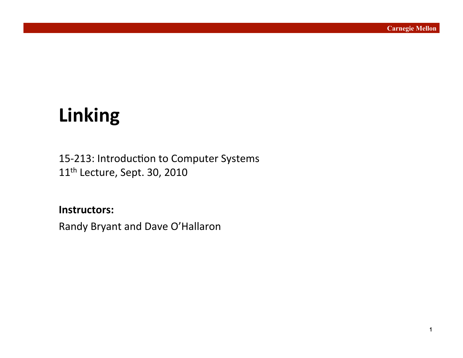# **Linking&**

15-213: Introduction to Computer Systems 11<sup>th</sup> Lecture, Sept. 30, 2010

**Instructors:**'' Randy Bryant and Dave O'Hallaron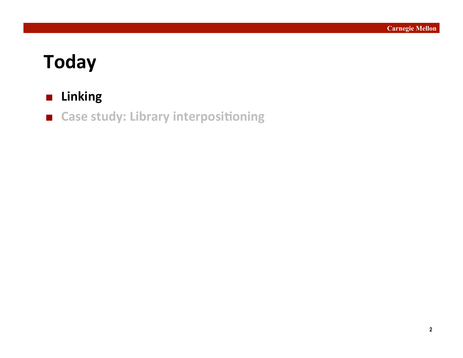# **Today&**

### **Linking**

**E** Case study: Library interpositioning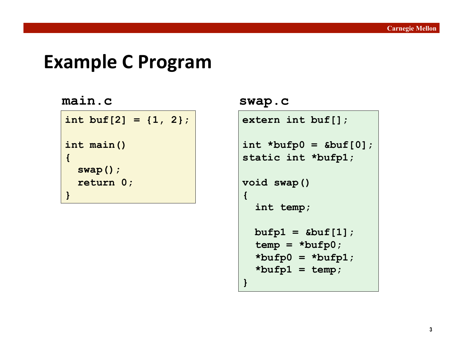### **Example C Program**

#### **main.c swap.c**

```
int buf[2] = {1, 2}; 
int main() 
{ 
   swap(); 
   return 0; 
}
```

```
extern int buf[];
```

```
int *bufp0 = &buf[0]; 
static int *bufp1;
```

```
void swap() 
{
```
**}** 

```
 int temp;
```

```
 bufp1 = &buf[1]; 
 temp = *bufp0; 
 *bufp0 = *bufp1; 
 *bufp1 = temp;
```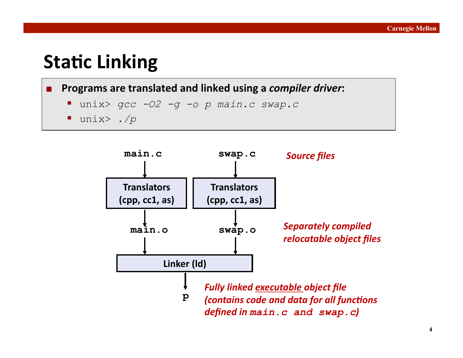# **Static Linking**

#### **Programs are translated and linked using a** *compiler driver***:**

- unix> *gcc -O2 -g -o p main.c swap.c*
- unix> *./p*

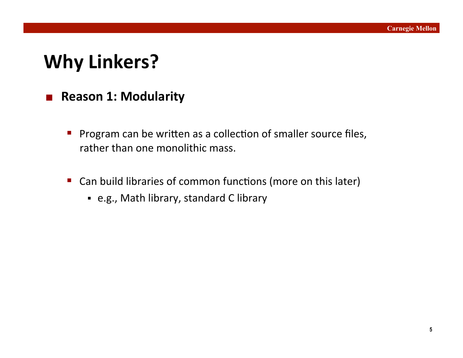# **Why Linkers?**

### **Reason 1: Modularity**

- **Program can be written as a collection of smaller source files,** rather than one monolithic mass.
- Can build libraries of common functions (more on this later)
	- **e.g., Math library, standard C library**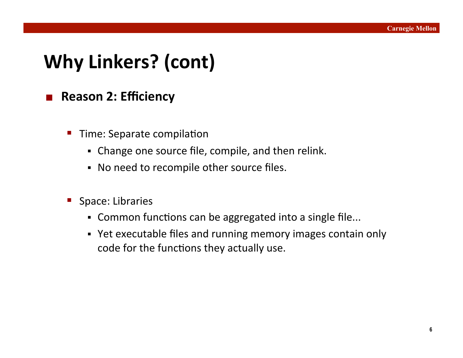# **Why Linkers? (cont)**

### ■ Reason 2: Efficiency

- Time: Separate compilation
	- Change one source file, compile, and then relink.
	- No need to recompile other source files.
- Space: Libraries
	- Common functions can be aggregated into a single file...
	- Yet executable files and running memory images contain only code for the functions they actually use.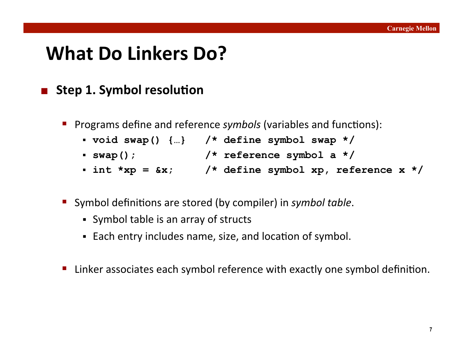# What Do Linkers Do?

### **E** Step 1. Symbol resolution

- **Programs define and reference** *symbols* (variables and functions):
	- **void swap() {…} /\* define symbol swap \*/**
	- **swap(); /\* reference symbol a \*/**
	- **int \*xp = &x; /\* define symbol xp, reference x \*/**
- Symbol definitions are stored (by compiler) in *symbol table*.
	- Symbol table is an array of structs
	- Each entry includes name, size, and location of symbol.
- Linker associates each symbol reference with exactly one symbol definition.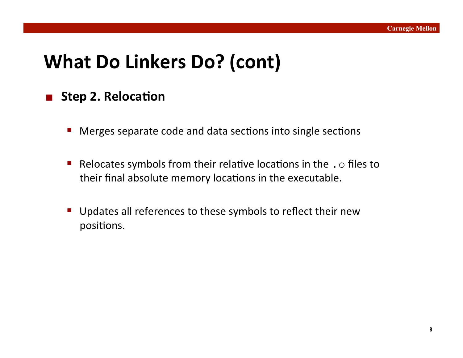# **What Do Linkers Do? (cont)**

### **Step 2. Relocation**

- Merges separate code and data sections into single sections
- Relocates symbols from their relative locations in the  $\cdot \circ$  files to their final absolute memory locations in the executable.
- Updates all references to these symbols to reflect their new positions.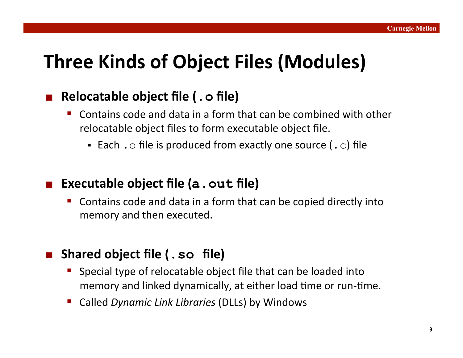# **Three Kinds of Object Files (Modules)**

### **Relocatable&object&file&(.o&file)&**

- Contains code and data in a form that can be combined with other relocatable object files to form executable object file.
	- Each . o file is produced from exactly one source (. c) file

### **Executable object file (a.out file)**

Contains code and data in a form that can be copied directly into memory and then executed.

### **Shared&object&file&(.so file)&**

- Special type of relocatable object file that can be loaded into memory and linked dynamically, at either load time or run-time.
- Called'*Dynamic'Link'Libraries*'(DLLs)'by'Windows'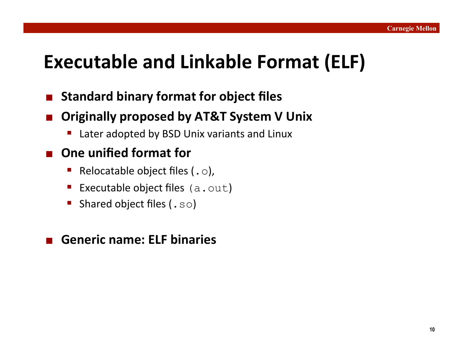### **Executable and Linkable Format (ELF)**

- **E** Standard binary format for object files
- **Originally proposed by AT&T System V Unix** 
	- Later adopted by BSD Unix variants and Linux

### **One unified format for**

- Relocatable object files (.  $\circ$ ),
- Executable object files  $(a.out)$
- Shared object files (. so)

#### **Generic name: ELF binaries**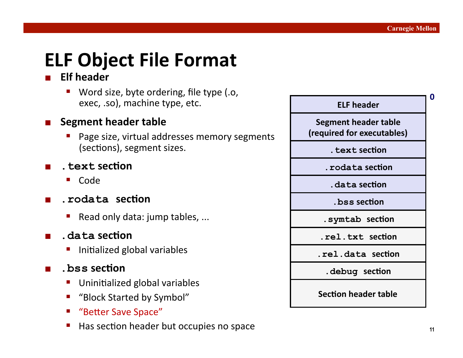# **ELF Object File Format**

#### **Elf header**

Word size, byte ordering, file type (.o, exec, .so), machine type, etc.

#### **Segment header table**

- Page size, virtual addresses memory segments (sections), segment sizes.
- **.text&sec7on&**
	- Code
- **.** rodata section
	- Read only data: jump tables, ...
- **.data&sec7on&**
	- $\blacksquare$  Initialized global variables
- $\blacksquare$  . bss section
	- $\blacksquare$  Uninitialized global variables
	- "Block Started by Symbol"
	- "Better Save Space"
	- Has section header but occupies no space

| <b>ELF header</b>                                  | Π |
|----------------------------------------------------|---|
| Segment header table<br>(required for executables) |   |
| . text section                                     |   |
| . rodata section                                   |   |
| data section.                                      |   |
| . bss section                                      |   |
| .symtab section                                    |   |
| .rel.txt section                                   |   |
| rel.data section.                                  |   |
| debug section.                                     |   |
| <b>Section header table</b>                        |   |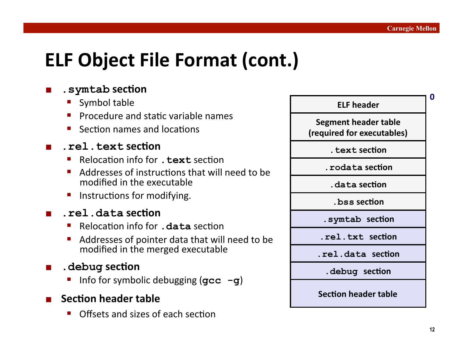# **ELF Object File Format (cont.)**

#### **.symtab&sec7on&**

- Symbol table
- $\blacksquare$  Procedure and static variable names
- Section names and  $locations$

#### **.rel.text&sec7on&**

- Relocation info for **. text** section
- Addresses of instructions that will need to be modified in the executable
- $\blacksquare$  Instructions for modifying.
- **.rel.data&sec7on&**
	- Relocation info for **. data** section
	- Addresses of pointer data that will need to be modified in the merged executable
- $\blacksquare$  . debug section
	- Info for symbolic debugging (**gcc** -**g**)
- **Section header table** 
	- Offsets and sizes of each section

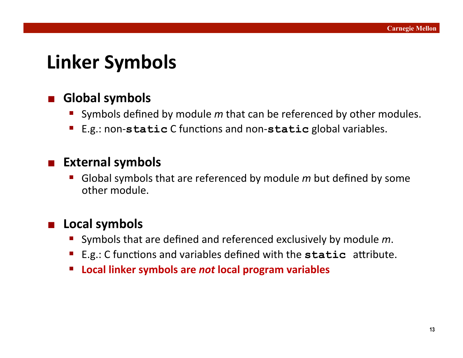# **Linker Symbols**

### **Global symbols**

- Symbols defined by module m that can be referenced by other modules.
- E.g.: non-static C functions and non-static global variables.

#### **External symbols**

Global symbols that are referenced by module m but defined by some other module.

### **Local symbols**

- Symbols that are defined and referenced exclusively by module *m*.
- E.g.: C functions and variables defined with the static attribute.
- **E** Local linker symbols are not local program variables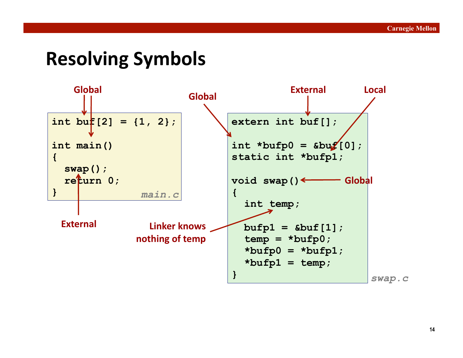### **Resolving&Symbols&**

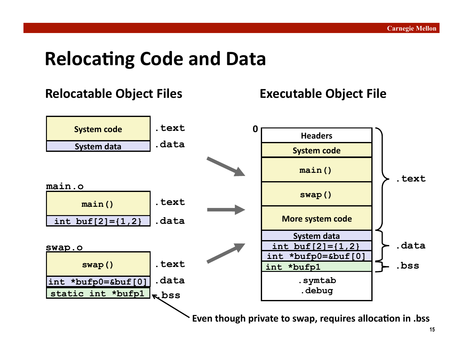### **Relocating Code and Data**

### **Relocatable Object Files Executable Object File**

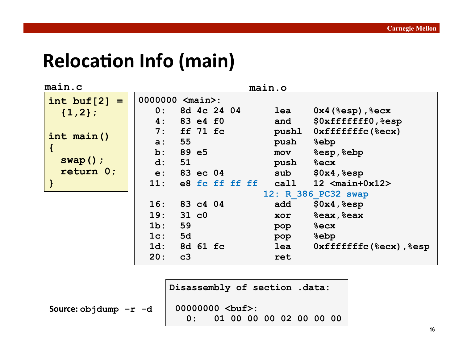# **Relocation Info (main)**

| main.c          |                         | main.o                                       |
|-----------------|-------------------------|----------------------------------------------|
| int buf $[2] =$ | 0000000 <main>:</main>  |                                              |
| ${1,2};$        | 8d 4c 24 04<br>0:       | $0x4$ (%esp), %ecx<br>lea                    |
|                 | 4:<br>83 e4 f0          | \$0xffffffff0, %esp<br>and                   |
| $int$ main()    | $ff$ 71 $fc$<br>7:      | $0$ xffffffffc(%ecx)<br>pushl                |
|                 | 55<br>$a$ :             | <b>&amp;ebp</b><br>push                      |
|                 | 89 e5<br>$\mathbf{b}$ : | &esp, &ebp<br>mov                            |
| $swap()$ ;      | 51<br>$d$ :             | <b>&amp;ecx</b><br>push                      |
| return 0;       | e: 83 ec 04             | \$0x4, \$esp<br>sub                          |
|                 | 11:<br>e8 fc ff ff ff   | call<br>12 $\langle \text{main+0x12}\rangle$ |
|                 |                         | 12: R 386 PC32 swap                          |
|                 | 16: 83 c4 04            | \$0x4, \$esp<br>add                          |
|                 | 19:<br>31 c0            | %eax, %eax<br>xor                            |
|                 | 59<br>1b:               | $8$ ecx<br>pop                               |
|                 | 5d<br>$1c$ :            | <b>&amp;ebp</b><br>pop                       |
|                 | 8d 61 fc<br>$1d$ :      | $0$ xffffffffc(%ecx), %esp<br>lea            |
|                 | 20:<br>c3               | ret                                          |

**Disassembly of section .data:** 

**Source:&objdump –r -d** 

00000000 <br /> **/>
20000000 <br />**  $\frac{1}{2}$  **<br />**  $\frac{1}{2}$  **<br />**  $\frac{1}{2}$  **<br />**  $\frac{1}{2}$  **<br />**  $\frac{1}{2}$  **<br />**  $\frac{1}{2}$  **<br />**  $\frac{1}{2}$  **<br />**  $\frac{1}{2}$  **<br />**  $\frac{1}{2}$  **<br />**  $\frac{1}{2}$  **<br />**  $\frac{1}{2}$  **<br /> 0: 01 00 00 00 02 00 00 00**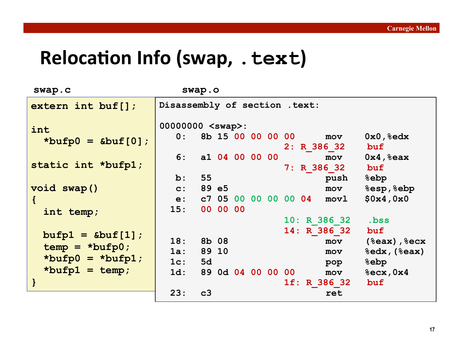# **Relocation Info (swap, . text)**

| swap.c                                       | swap.o                                                                                               |                                                         |
|----------------------------------------------|------------------------------------------------------------------------------------------------------|---------------------------------------------------------|
| $extern$ int buf[];                          | Disassembly of section . text:                                                                       |                                                         |
| int<br>*bufp $0 =$ &buf[0];                  | $00000000$ <swap>:<br/>8b 15 00 00 00 00<br/>0:<br/>mov<br/>2: R 386 32</swap>                       | $0x0, %$ edx<br>buf                                     |
| static int *bufp1;                           | 6: a1 04 00 00 00<br>mov<br>7: R 386 32                                                              | $0x4,$ $sec$<br>buf                                     |
| void swap()                                  | 55<br>$\mathbf{b}$ :<br>push<br>89 e5<br>$\mathbf{c}$ :<br>mov<br>c7 05 00 00 00 00 04 movl<br>$e$ : | <b>&amp;ebp</b><br>&esp, &ebp<br>\$0x4,0x0              |
| int temp;                                    | 00 00 00<br>15:<br>10: R 386 32                                                                      | .bss                                                    |
| $buffer1 = & but [1];$<br>$temp = *bufp0;$   | 14: R 386 32<br>18:<br>8b 08<br>mov                                                                  | buf<br>(%eax), %ecx                                     |
| *bufp $0 = *$ bufp $1;$<br>*bufp $1 = temp;$ | 89 10<br>$1a$ :<br>mov<br>5d<br>1c:<br>pop<br>89 0d 04 00 00 00<br>$1d$ :<br>mov                     | $\texttt{edx}, (\texttt{seax})$<br>&ebp<br>$%$ ecx, 0x4 |
| $\mathbf{\}$                                 | 1f: R 386 32<br>23:<br>c3<br>ret                                                                     | buf                                                     |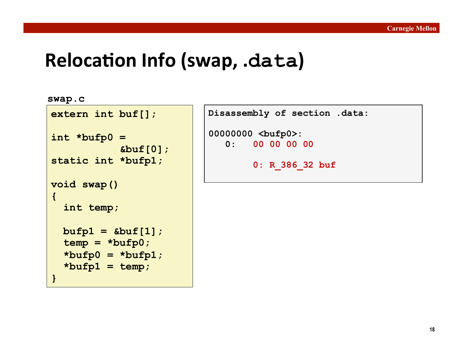### **Relocation Info (swap, .data)**

```
swap.c
```
**}** 

```
extern int buf[];
```

```
int *bufp0 = 
              &buf[0]; 
static int *bufp1; 
void swap() 
{
```
 **bufp1 = &buf[1];** 

 **\*bufp0 = \*bufp1;** 

 **temp = \*bufp0;** 

 **\*bufp1 = temp;** 

 **int temp;** 

```
Disassembly of section .data:
```

```
00000000 <bufp0>: 
    0: 00 00 00 00
```

```
 0: R_386_32 buf
```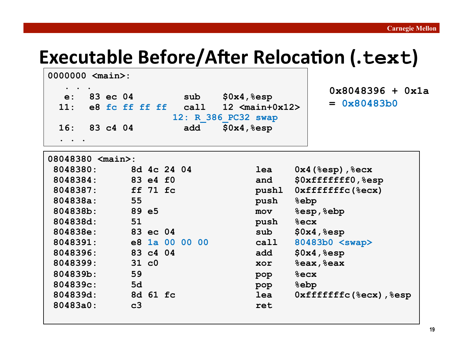# **Executable Before/After Relocation (.text)**

| 0000000 <main>:</main>   |                            |                                                      |                                     |
|--------------------------|----------------------------|------------------------------------------------------|-------------------------------------|
| 83 ec 04<br>$e$ :<br>11: | sub<br>e8 fc ff ff ff call | \$0x4, \$esp<br>12 $\langle \text{main+0x12}\rangle$ | $0x8048396 + 0x1a$<br>$= 0x80483b0$ |
| 16: 83 c4 04             | add                        | 12: R 386 PC32 swap<br>\$0x4, \$esp                  |                                     |
| 08048380 <main>:</main>  |                            |                                                      |                                     |
| 8048380:                 | 8d 4c 24 04                | lea                                                  | $0x4$ (%esp), %ecx                  |
| 8048384:                 | 83 e4 f0                   | and                                                  | \$0xffffffff0, %esp                 |
| 8048387:                 | $ff$ 71 $fc$               | pushl                                                | $0$ xffffffffc ( $8$ ecx)           |
| 804838a:                 | 55                         | push<br><b>&amp;ebp</b>                              |                                     |
| $804838b$ :              | 89 e5                      | mov                                                  | %esp, %ebp                          |
| 804838d:                 | 51                         | push<br>$8$ ecx                                      |                                     |
| 804838e:                 | 83 ec 04                   | sub                                                  | \$0x4, \$esp                        |
| 8048391:                 | e8 1a 00 00 00             | call                                                 | 80483b0 <swap></swap>               |
| 8048396:                 | 83 c4 04                   | add                                                  | \$0x4, \$esp                        |
| 8048399:                 | 31 c0                      | xor                                                  | $%$ eax, $%$ eax                    |
| 804839b:                 | 59                         | $8$ ecx<br>pop                                       |                                     |
| 804839c:                 | 5d                         | &epp &<br>pop                                        |                                     |
| 804839d:                 | 8d 61 fc                   | lea                                                  | Oxfffffffc(%ecx),%esp               |
| 80483a0:                 | c3                         | ret                                                  |                                     |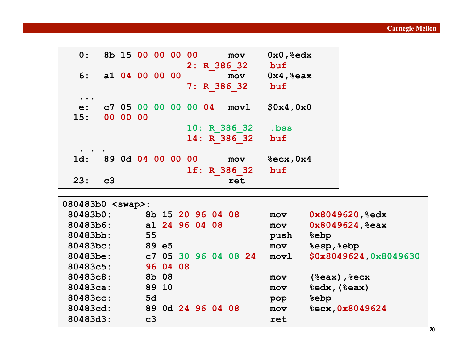| 0:                                                | 8b 15 00 00 00 00 |          |  |                   | mov<br>2: R 386 32                    | $0x0,8$ edx<br>buf   |
|---------------------------------------------------|-------------------|----------|--|-------------------|---------------------------------------|----------------------|
| 6:                                                | a1 04 00 00 00    |          |  |                   | mov<br>7: R 386 32                    | $0x4,$ $8eax$<br>buf |
| $\bullet\quad\bullet\quad\bullet$<br>$e$ :<br>15: |                   | 00 00 00 |  |                   | c7 05 00 00 00 00 04<br>$\text{movl}$ | \$0x4,0x0            |
|                                                   |                   |          |  |                   | 10: R 386 32<br>14: R 386 32          | .bss<br>buf          |
| $1d$ :                                            |                   |          |  | 89 0d 04 00 00 00 | mov<br>1f: R 386 32                   | $%$ ecx, 0x4<br>buf  |
| 23:                                               | c3                |          |  |                   | ret                                   |                      |

| 080483b0 <swap>:</swap> |                   |                      |                                             |
|-------------------------|-------------------|----------------------|---------------------------------------------|
| 80483b0:                | 8b 15 20 96 04 08 |                      | 0x8049620, 8edx<br>mov                      |
| 80483b6:                | a1 24 96 04 08    |                      | 0x8049624, 8eax<br>mov                      |
| 80483bb:                | 55                |                      | <b>&amp;ebp</b><br>push                     |
| 80483bc:                | 89 e5             |                      | &esp, &ebp<br>mov                           |
| 80483be:                |                   | c7 05 30 96 04 08 24 | \$0x8049624,0x8049630<br>mov1               |
| 80483c5:                | 96 04 08          |                      |                                             |
| 80483c8:                | 8b 08             |                      | (%eax), %ecx<br>mov                         |
| 80483ca:                | 89 10             |                      | $\texttt{edx}$ , ( $\texttt{seax}$ )<br>mov |
| 80483cc:                | 5d                |                      | &ebp<br>pop                                 |
| 80483cd:                | 89 0d 24 96 04 08 |                      | %ecx, 0x8049624<br>mov                      |
| 80483d3:                | c3                |                      | ret                                         |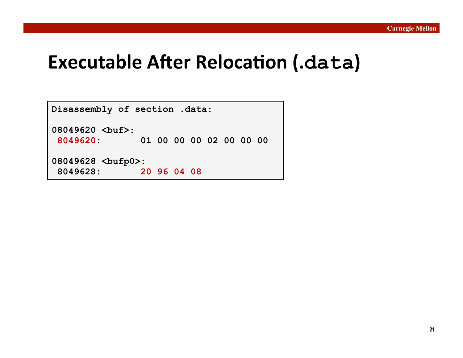### **Executable After Relocation (.data)**

**Disassembly of section .data: 08049620 <buf>: 8049620: 01 00 00 00 02 00 00 00 08049628 <bufp0>: 8049628: 20 96 04 08**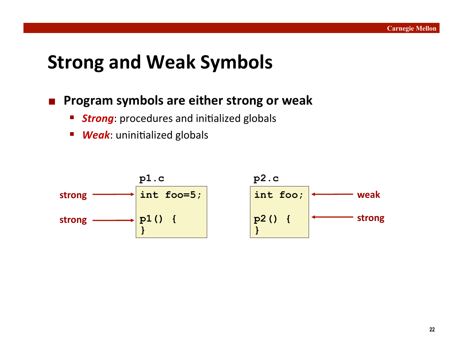### **Strong and Weak Symbols**

#### **Program symbols are either strong or weak**

- **Strong**: procedures and initialized globals
- **Weak:** uninitialized globals

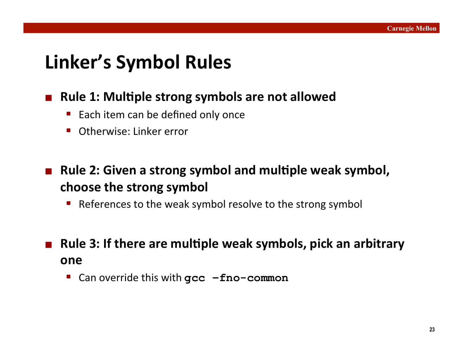# **Linker's Symbol Rules**

### ■ Rule 1: Multiple strong symbols are not allowed

- Each item can be defined only once
- $\blacksquare$  Otherwise: Linker error
- **Rule 2: Given a strong symbol and multiple weak symbol, choose the strong symbol** 
	- References to the weak symbol resolve to the strong symbol
- Rule 3: If there are multiple weak symbols, pick an arbitrary **one&**
	- Can override this with  $\texttt{gcc -fno-common}$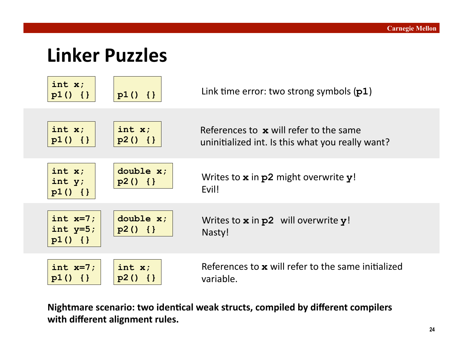### **Linker Puzzles**



Nightmare scenario: two identical weak structs, compiled by different compilers with different alignment rules.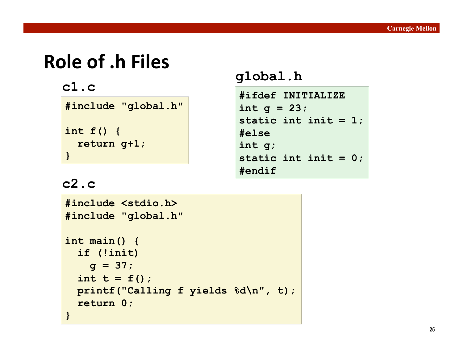# **Role of .h Files**

| #include "global.h" |
|---------------------|
| int $f()$ {         |
| return g+1;         |
|                     |

# **c1.c global.h**

```
#ifdef INITIALIZE 
int g = 23; 
static int init = 1; 
#else 
int g; 
static int init = 0; 
#endif
```
### **c2.c**

```
#include <stdio.h> 
#include "global.h" 
int main() { 
   if (!init) 
   q = 37;int t = f();
  printf("Calling f yields %d\n", t); 
   return 0; 
}
```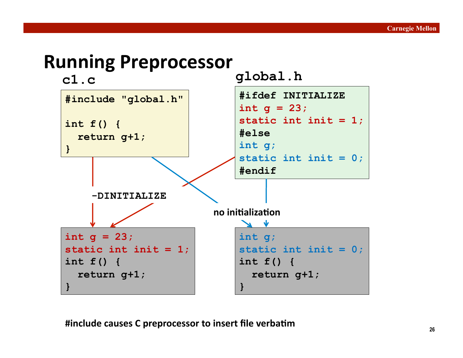### **Running&Preprocessor&**

**c1.c global.h**



**#include causes C preprocessor to insert file verbatim**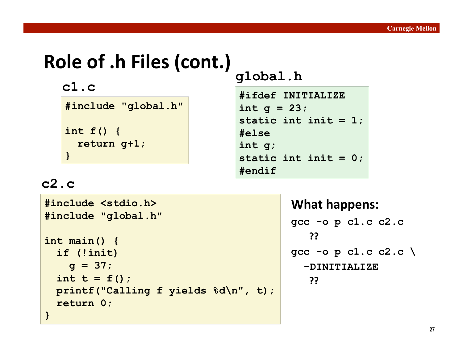# **Role of .h Files (cont.)**

| #include "global.h" |
|---------------------|
| int $f()$ {         |
| return $q+1$ ;      |
|                     |

**c1.c global.h**

```
#ifdef INITIALIZE 
int g = 23; 
static int init = 1; 
#else 
int g; 
static int init = 0; 
#endif
```
### **c2.c**

**#include <stdio.h> #include "global.h" int main() { if (!init)**   $q = 37;$ int  $t = f()$ ;  **printf("Calling f yields %d\n", t); return 0; }** 

```
What happens:
gcc -o p c1.c c2.c 
   &??&
gcc -o p c1.c c2.c \ 
   -DINITIALIZE 
   &??&
```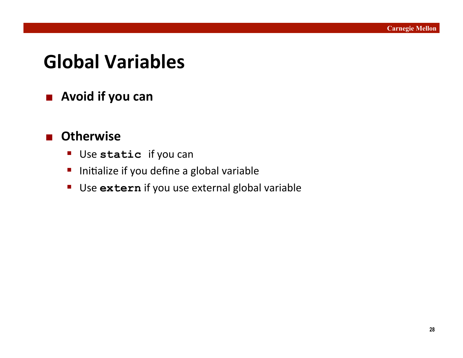# **Global Variables**

**Avoid if you can** 

### $\blacksquare$  Otherwise

- **Use static** if you can
- Initialize if you define a global variable
- Use extern if you use external global variable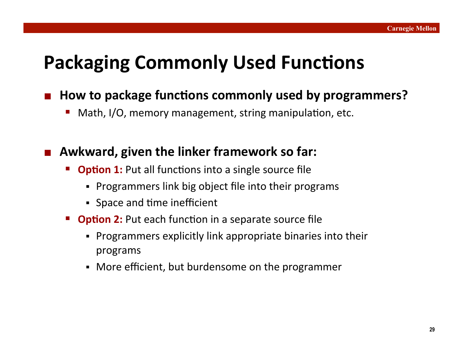# **Packaging Commonly Used Functions**

### How to package functions commonly used by programmers?

Math, I/O, memory management, string manipulation, etc.

#### Awkward, given the linker framework so far:

- **Option 1:** Put all functions into a single source file
	- Programmers link big object file into their programs
	- Space and time inefficient
- **Option 2:** Put each function in a separate source file
	- Programmers explicitly link appropriate binaries into their programs'
	- More efficient, but burdensome on the programmer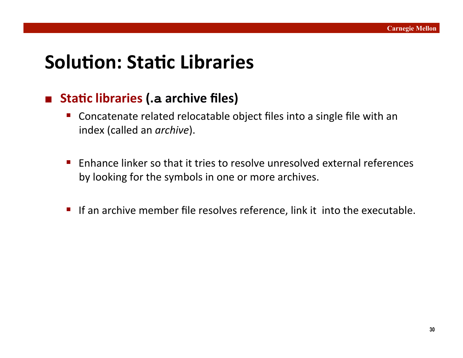# **Solution: Static Libraries**

### ■ Static libraries (.a archive files)

- Concatenate related relocatable object files into a single file with an index (called an *archive*).
- **Enhance linker so that it tries to resolve unresolved external references** by looking for the symbols in one or more archives.
- If an archive member file resolves reference, link it into the executable.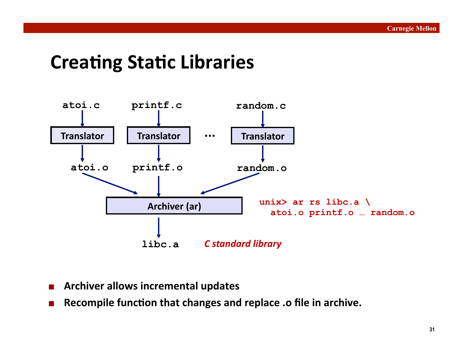### **Creating Static Libraries**



- **Archiver allows incremental updates**
- **Recompile function that changes and replace .o file in archive.**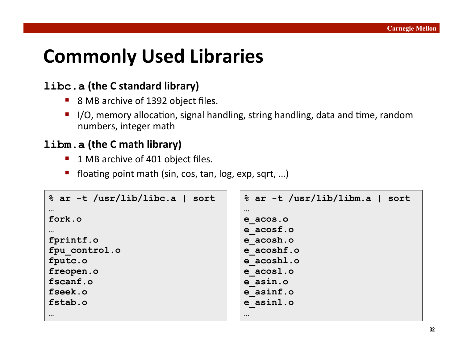# **Commonly Used Libraries**

#### **libc.a** (the C standard library)

- 8 MB archive of 1392 object files.
- $\blacksquare$  I/O, memory allocation, signal handling, string handling, data and time, random numbers, integer math

#### **libm.a** (the C math library)

- 1 MB archive of 401 object files.
- floating point math (sin, cos, tan,  $log$ , exp, sqrt, ...)

```
% ar -t /usr/lib/libc.a | sort 
… 
fork.o 
… 
fprintf.o 
fpu_control.o 
fputc.o 
freopen.o 
fscanf.o 
fseek.o 
fstab.o 
… 
                                         % ar -t /usr/lib/libm.a | sort 
                                         … 
                                         e_acos.o 
                                         e_acosf.o 
                                         e_acosh.o 
                                         e_acoshf.o 
                                         e_acoshl.o 
                                         e_acosl.o 
                                         e_asin.o 
                                         e_asinf.o 
                                         e_asinl.o 
                                         …
```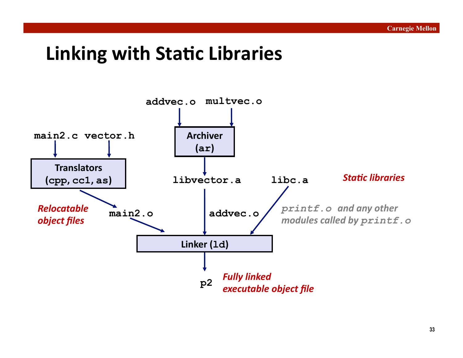### **Linking with Static Libraries**

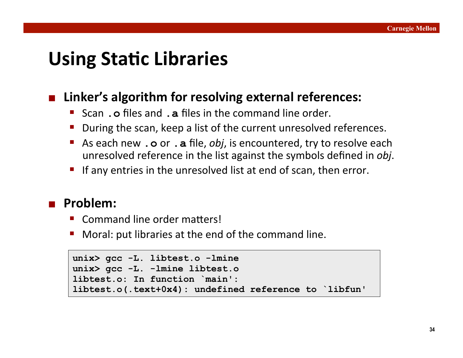### **Using Static Libraries**

### Linker's algorithm for resolving external references:

- **Scan . o** files and **. a** files in the command line order.
- During the scan, keep a list of the current unresolved references.
- **As each new . o** or **. a** file, *obj*, is encountered, try to resolve each unresolved reference in the list against the symbols defined in *obj*.
- If any entries in the unresolved list at end of scan, then error.

#### **Problem:**

- Command line order matters!
- Moral: put libraries at the end of the command line.

```
unix> gcc -L. libtest.o -lmine 
unix> gcc -L. -lmine libtest.o 
libtest.o: In function `main': 
libtest.o(.text+0x4): undefined reference to `libfun'
```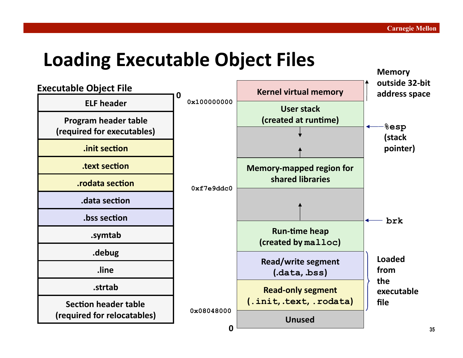**Memory&**

# **Loading Executable Object Files**

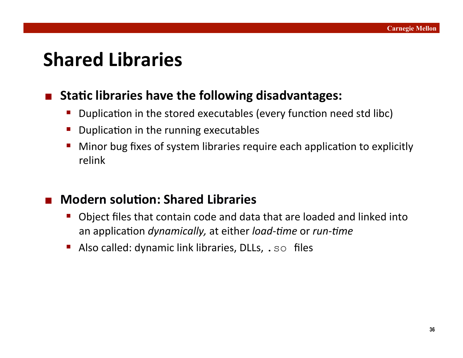### **Shared Libraries**

### **E** Static libraries have the following disadvantages:

- Duplication in the stored executables (every function need std libc)
- Duplication in the running executables
- Minor bug fixes of system libraries require each application to explicitly relink

### **Modern solution: Shared Libraries**

- Object files that contain code and data that are loaded and linked into an application *dynamically*, at either *load-time* or *run-time*
- Also called: dynamic link libraries, DLLs, . so files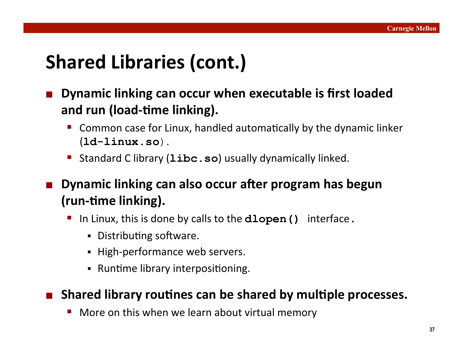# Shared Libraries (cont.)

- **Dynamic linking can occur when executable is first loaded** and run (load-time linking).
	- Common case for Linux, handled automatically by the dynamic linker (**ld-linux.so**).'
	- **Standard C library (libc.so)** usually dynamically linked.

**Dynamic linking can also occur after program has begun (run-time linking).** 

- In Linux, this is done by calls to the **dlopen ()** interface.
	- Distributing software.
	- High-performance web servers.
	- Runtime library interpositioning.

### Shared library routines can be shared by multiple processes.

More on this when we learn about virtual memory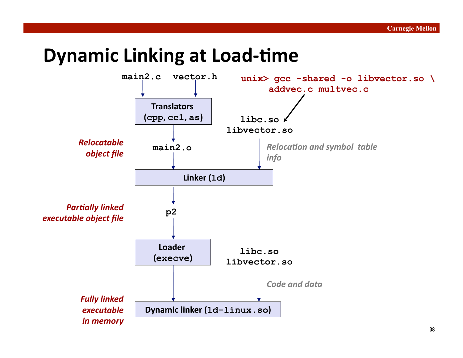### **Dynamic Linking at Load-time**

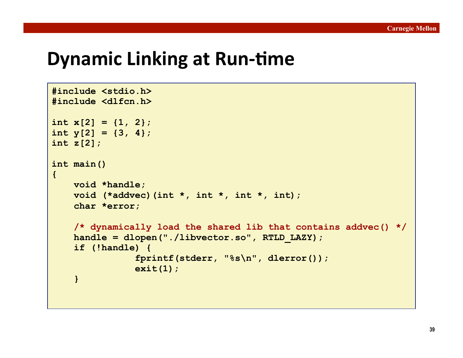### **Dynamic Linking at Run-time**

```
#include <stdio.h> 
#include <dlfcn.h> 
int x[2] = \{1, 2\};
int y[2] = \{3, 4\};
int z[2]; 
int main() 
{ 
    void *handle; 
     void (*addvec)(int *, int *, int *, int); 
     char *error; 
     /* dynamically load the shared lib that contains addvec() */ 
    handle = dlopen("./libvector.so", RTLD LAZY);
     if (!handle) { 
                 fprintf(stderr, "%s\n", dlerror()); 
                 exit(1); 
     }
```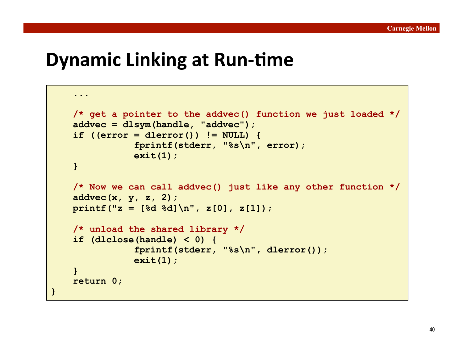### **Dynamic Linking at Run-time**

```
 ... 
     /* get a pointer to the addvec() function we just loaded */ 
     addvec = dlsym(handle, "addvec"); 
     if ((error = dlerror()) != NULL) { 
                 fprintf(stderr, "%s\n", error); 
                 exit(1); 
     } 
     /* Now we can call addvec() just like any other function */ 
     addvec(x, y, z, 2); 
    printf("z = [%d %d]\n", z[0], z[1]); 
     /* unload the shared library */ 
     if (dlclose(handle) < 0) { 
                 fprintf(stderr, "%s\n", dlerror()); 
                 exit(1); 
     } 
     return 0; 
}
```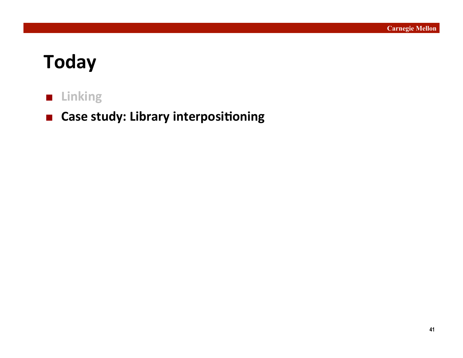# **Today&**

### **Linking**

**E** Case study: Library interpositioning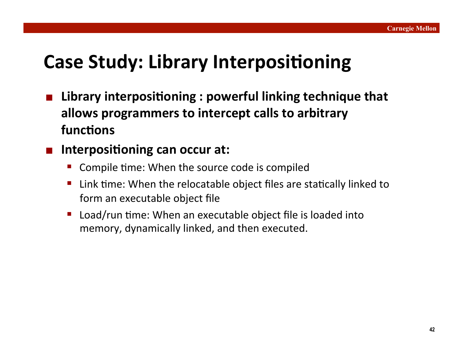# **Case Study: Library Interpositioning**

Library interpositioning : powerful linking technique that **allows&programmers&to&intercept&calls&to&arbitrary&** functions

### **Interpositioning can occur at:**

- Compile time: When the source code is compiled
- Link time: When the relocatable object files are statically linked to form an executable object file
- $\blacksquare$  Load/run time: When an executable object file is loaded into memory, dynamically linked, and then executed.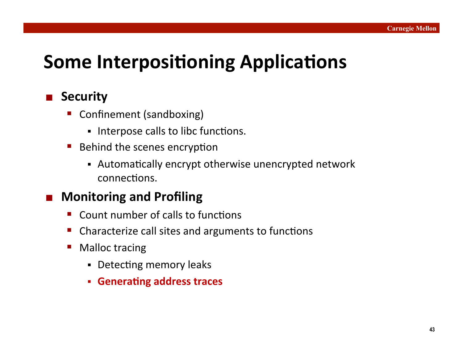# **Some Interpositioning Applications**

### **Security**

- Confinement (sandboxing)
	- Interpose calls to libc functions.
- $\blacksquare$  Behind the scenes encryption
	- Automatically encrypt otherwise unencrypted network connections.

### **Monitoring and Profiling**

- Count number of calls to functions
- Characterize call sites and arguments to functions
- Malloc tracing
	- Detecting memory leaks
	- **Generating address traces**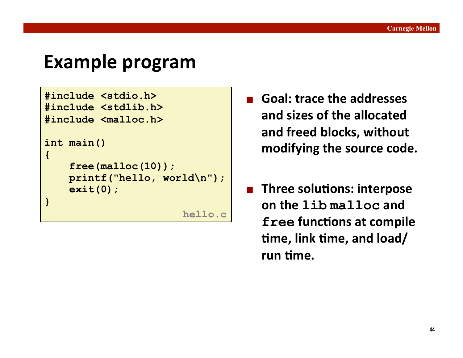### **Example program**

```
#include <stdio.h> 
#include <stdlib.h> 
#include <malloc.h> 
int main() 
{ 
     free(malloc(10)); 
     printf("hello, world\n"); 
     exit(0); 
} 
                         hello.c
```
- **Goal: trace the addresses** and sizes of the allocated and freed blocks, without modifying the source code.
- **E** Three solutions: interpose **on&the&lib malloc&and& free functions at compile fime, link time, and load/** run time.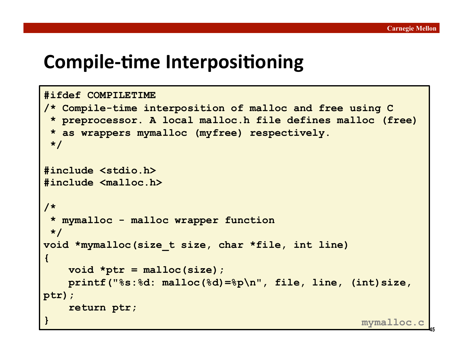**45**

### **Compile-time Interpositioning**

```
#ifdef COMPILETIME 
/* Compile-time interposition of malloc and free using C 
  * preprocessor. A local malloc.h file defines malloc (free) 
  * as wrappers mymalloc (myfree) respectively. 
  */ 
#include <stdio.h> 
#include <malloc.h> 
/* 
  * mymalloc - malloc wrapper function 
  */ 
void *mymalloc(size_t size, char *file, int line) 
{ 
    void *ptr = malloc(size); 
    printf("%s:%d: malloc(%d)=%p\n", file, line, (int)size, 
ptr); 
     return ptr; 
} mymalloc.c
```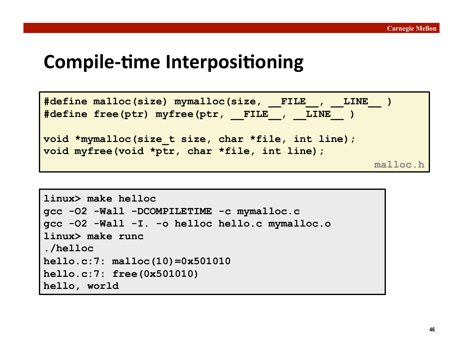### **Compile-time Interpositioning**

```
#define malloc(size) mymalloc(size, __FILE__, __LINE__ ) 
#define free(ptr) myfree(ptr, __FILE__, __LINE__ ) 
void *mymalloc(size_t size, char *file, int line); 
void myfree(void *ptr, char *file, int line); 
                                                      malloc.h
```

```
linux> make helloc
gcc -O2 -Wall -DCOMPILETIME -c mymalloc.c
gcc -O2 -Wall -I. -o helloc hello.c mymalloc.o
linux> make runc
./helloc
hello.c:7: malloc(10)=0x501010 
hello.c:7: free(0x501010) 
hello, world
```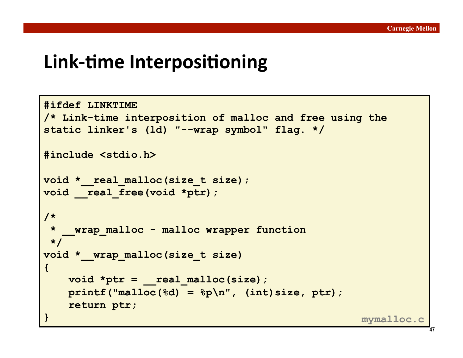### **Link-time Interpositioning**

```
#ifdef LINKTIME 
/* Link-time interposition of malloc and free using the 
static linker's (ld) "--wrap symbol" flag. */ 
#include <stdio.h> 
void * real malloc(size t size);
void real free(void *ptr);
/* 
  * __wrap_malloc - malloc wrapper function 
  */ 
void *__wrap_malloc(size_t size) 
{ 
    void *ptr = __real_malloc(size); 
   printf("malloc(%d) = %p\nu", (int) size, ptr); return ptr; 
} mymalloc.c
```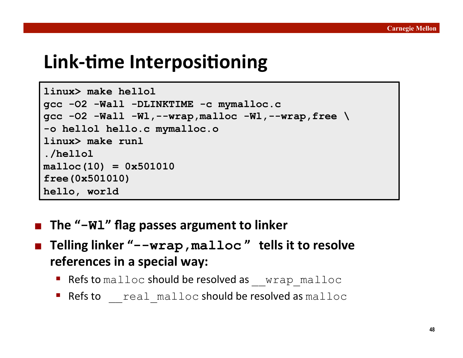### **Link-time Interpositioning**

```
linux> make hellol
gcc -O2 -Wall -DLINKTIME -c mymalloc.c
gcc -O2 -Wall -Wl,--wrap,malloc -Wl,--wrap,free \ 
-o hellol hello.c mymalloc.o
linux> make runl
./hellol
malloc(10) = 0x501010 
free(0x501010) 
hello, world
```
- **E** The "-Wl" flag passes argument to linker
- **Telling linker "--wrap, malloc" tells it to resolve references in a special way:** 
	- Refsto malloc should be resolved as vrap malloc
	- Refsto real malloc should be resolved as malloc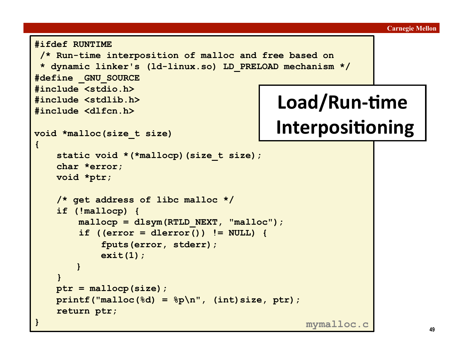```
#ifdef RUNTIME 
  /* Run-time interposition of malloc and free based on 
  * dynamic linker's (ld-linux.so) LD_PRELOAD mechanism */ 
#define _GNU_SOURCE 
#include <stdio.h> 
#include <stdlib.h> 
#include <dlfcn.h> 
void *malloc(size_t size) 
{ 
    static void *(*mallocp) (size t size);
     char *error; 
     void *ptr; 
     /* get address of libc malloc */ 
     if (!mallocp) { 
         mallocp = dlsym(RTLD_NEXT, "malloc"); 
         if ((error = dlerror()) != NULL) { 
             fputs(error, stderr); 
             exit(1); 
        } 
 } 
     ptr = mallocp(size); 
     printf("malloc(%d) = %p\n", (int)size, ptr); 
     return ptr; 
} 
                                              Load/Run-time
                                             Interpositioning
                                                   mymalloc.c
```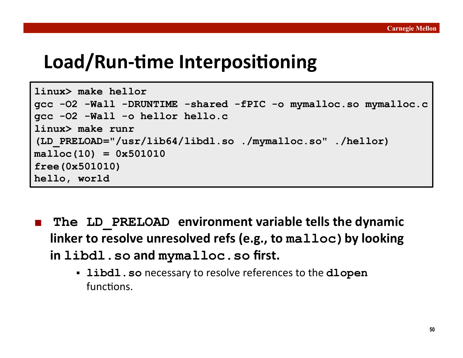### Load/Run-time Interpositioning

```
linux> make hellor 
gcc -O2 -Wall -DRUNTIME -shared -fPIC -o mymalloc.so mymalloc.c
gcc -O2 -Wall -o hellor hello.c
linux> make runr
(LD_PRELOAD="/usr/lib64/libdl.so ./mymalloc.so" ./hellor) 
malloc(10) = 0x501010 
free(0x501010) 
hello, world
```
- **The LD PRELOAD environment variable tells the dynamic linker to resolve unresolved refs (e.g., to malloc) by looking in&libdl.so&and&mymalloc.so&first.&**
	- **libdl.so** necessary to resolve references to the **dlopen** functions.